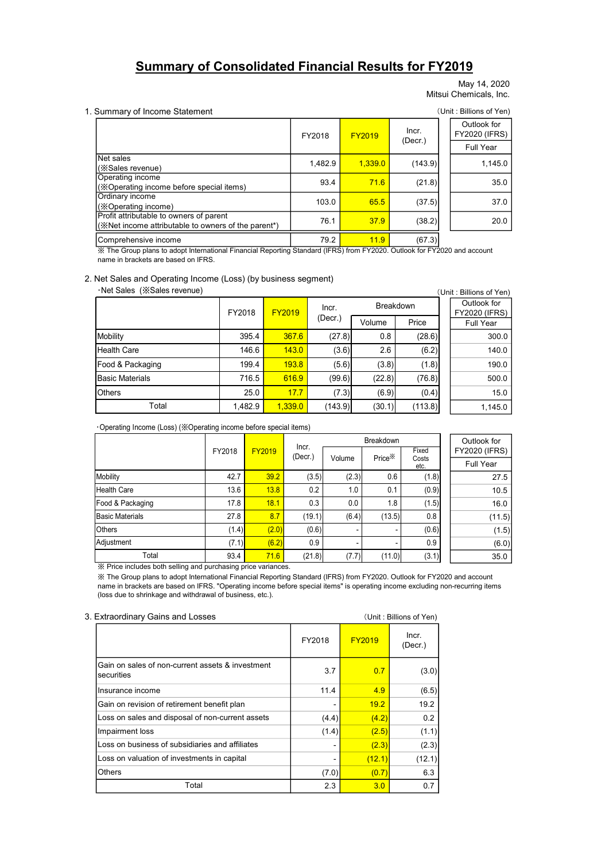# Summary of Consolidated Financial Results for FY2019

May 14, 2020 Mitsui Chemicals, Inc.

# 1. Summary of Income Statement (Unit: Billions of Yen) Outlook for FY2020 (IFRS) Full Year  $1,482.9$   $1,339.0$   $(143.9)$  1,145.0 93.4 **71.6** (21.8) 35.0 103.0 65.5 (37.5) 37.0 76.1  $37.9$  (38.2) 20.0 Comprehensive income 1992 11.9 (67.3) Profit attributable to owners of parent (※Net income attributable to owners of the parent\*) FY2018  $FY2019$  Incr. (Decr.) Net sales (※Sales revenue) Operating income (※Operating income before special items) Ordinary income (※Operating income) **Results for FY2019**<br>
May 14, 2020<br>
Mitsui Chemicals, Inc.<br>
(Unit : Billions of Yen)<br>
Ther.<br>
(Decr.)<br>
(Decr.)<br>
(THE PRICALEST)<br>
T1.6<br>
(21.8)<br>
(38.2)<br>
T1.9<br>
(67.3)<br>
(Unit : Billions of Yen)<br>
FY2020. Outlook for FY2020 and **Summary of Droma Statement**<br>
Summary of Income Statement<br>
Missio Chemicals, Inc.<br>
Missio Chemicals, Inc.<br>
Missio Chemicals, Inc.<br>
Net states<br>
Net states<br>
Summary of Income before special literary<br>
(Second Income)<br>
The Co Summary of Income Statement<br>
Missui Chemicals, Inc.<br>
Net saies<br>
Net saies<br>
Net saies<br>
(SS-alses revenue)<br>
Care 146.6 (SS-alses revenue)<br>
Care 145.0 (SS-alses revenue)<br>
Care 145.0 (SS-alses revenue)<br>
Care 145.0 (SS-alses r Summary of Income Statement<br>
Net sales<br>
We sales<br>
We sales we we use<br>
(See all the sales of Variables in the sales (See all the sales of Variables 199.4 199.4 199.4 199.4 199.4 199.4 199.4 199.4 199.4 199.4 199.4 199.4 19 Summary of Income Statement<br>
Net sales<br>
Net sales<br>
(Scalies revenue)<br>
(Scalies revenue)<br>
(Scalies revenue)<br>
Consenting income<br>
Consenting income<br>
Consenting income<br>
(Scalies revenue)<br>
(Scalies revenue)<br>
(Scalies revenue)<br>

#### 2. Net Sales and Operating Income (Loss) (by business segment)

|                                                                                                                                   |        |         | FY2018  |         | <b>FY2019</b>      | Incr.         | Outlook for<br><b>FY2020 (IFRS)</b> |
|-----------------------------------------------------------------------------------------------------------------------------------|--------|---------|---------|---------|--------------------|---------------|-------------------------------------|
|                                                                                                                                   |        |         |         |         |                    | (Decr.)       | Full Year                           |
| Net sales<br>(※Sales revenue)                                                                                                     |        |         |         | 1,482.9 | 1,339.0            | (143.9)       | 1,145.0                             |
| Operating income<br>(※Operating income before special items)                                                                      |        |         |         | 93.4    | 71.6               | (21.8)        | 35.0                                |
| Ordinary income<br>(※Operating income)                                                                                            |        |         |         | 103.0   | 65.5               | (37.5)        | 37.0                                |
| Profit attributable to owners of parent<br>(※Net income attributable to owners of the parent*)                                    |        |         |         | 76.1    | 37.9               | (38.2)        | 20.0                                |
| Comprehensive income                                                                                                              |        |         |         | 79.2    | 11.9               | (67.3)        |                                     |
| name in brackets are based on IFRS.<br>Net Sales and Operating Income (Loss) (by business segment)<br>·Net Sales (※Sales revenue) |        |         |         |         |                    |               | (Unit: Billions of Yen)             |
|                                                                                                                                   | FY2018 |         | FY2019  | Incr.   |                    | Breakdown     | Outlook for<br>FY2020 (IFRS)        |
|                                                                                                                                   |        |         |         | (Decr.) | Volume             | Price         | Full Year                           |
| Mobility                                                                                                                          |        | 395.4   | 367.6   | (27.8)  | 0.8                | (28.6)        | 300.0                               |
| <b>Health Care</b>                                                                                                                |        | 146.6   | 143.0   | (3.6)   | 2.6                | (6.2)         | 140.0                               |
| Food & Packaging                                                                                                                  |        | 199.4   | 193.8   | (5.6)   | (3.8)              | (1.8)         | 190.0                               |
| <b>Basic Materials</b>                                                                                                            |        | 716.5   | 616.9   | (99.6)  | (22.8)             | (76.8)        | 500.0                               |
| <b>Others</b>                                                                                                                     |        | 25.0    | 17.7    | (7.3)   | (6.9)              | (0.4)         | 15.0                                |
| Total                                                                                                                             |        | 1,482.9 | 1,339.0 | (143.9) | (30.1)             | (113.8)       | 1,145.0                             |
| Operating Income (Loss) (※Operating income before special items)                                                                  |        |         |         |         |                    |               |                                     |
|                                                                                                                                   | FY2018 | FY2019  | Incr.   |         | Breakdown          | Fixed         | Outlook for<br><b>FY2020 (IFRS)</b> |
|                                                                                                                                   |        |         | (Decr.) | Volume  | Price <sup>*</sup> | Costs<br>etc. | Full Year                           |
| Mobility                                                                                                                          | 42.7   | 39.2    | (3.5)   | (2.3)   |                    | 0.6<br>(1.8)  | 27.5                                |
| Health Care                                                                                                                       | 13.6   | 13.8    | 0.2     | 1.0     | 0.1                | (0.9)         | 10.5                                |
| Food & Packaging                                                                                                                  | 17.8   | 18.1    | 0.3     | 0.0     | 1.8                | (1.5)         | 16.0                                |
| <b>Basic Materials</b>                                                                                                            | 27.8   | 8.7     | (19.1)  | (6.4)   | (13.5)             | 0.8           | (11.5)                              |
| <b>Others</b>                                                                                                                     | (1.4)  | (2.0)   | (0.6)   |         |                    | (0.6)         | (1.5)                               |
| Adjustment                                                                                                                        | (7.1)  | (6.2)   | 0.9     |         |                    | 0.9           | (6.0)                               |
| Total                                                                                                                             | n cn   | 74C     | (24.0)  | (77)    | (110)              | (2.1)         | 250                                 |

| Comprehensive income                                                                                                                                                                                                                                                                                                                                                                    |        |         |               |         | 79.2          | 11.9               | (67.3)                  |                                     |
|-----------------------------------------------------------------------------------------------------------------------------------------------------------------------------------------------------------------------------------------------------------------------------------------------------------------------------------------------------------------------------------------|--------|---------|---------------|---------|---------------|--------------------|-------------------------|-------------------------------------|
| X The Group plans to adopt International Financial Reporting Standard (IFRS) from FY2020. Outlook for FY2020 and account<br>name in brackets are based on IFRS.                                                                                                                                                                                                                         |        |         |               |         |               |                    |                         |                                     |
|                                                                                                                                                                                                                                                                                                                                                                                         |        |         |               |         |               |                    |                         |                                     |
| Net Sales and Operating Income (Loss) (by business segment)<br>·Net Sales (※Sales revenue)                                                                                                                                                                                                                                                                                              |        |         |               |         |               |                    |                         | (Unit: Billions of Yen)             |
|                                                                                                                                                                                                                                                                                                                                                                                         |        |         |               |         |               |                    |                         | Outlook for                         |
|                                                                                                                                                                                                                                                                                                                                                                                         |        | FY2018  | <b>FY2019</b> |         | Incr.         | Breakdown          |                         | <b>FY2020 (IFRS)</b>                |
|                                                                                                                                                                                                                                                                                                                                                                                         |        |         |               |         | $($ Decr. $)$ | Volume             | Price                   | <b>Full Year</b>                    |
| Mobility                                                                                                                                                                                                                                                                                                                                                                                |        | 395.4   |               | 367.6   | (27.8)        | 0.8                | (28.6)                  | 300.0                               |
| <b>Health Care</b>                                                                                                                                                                                                                                                                                                                                                                      |        | 146.6   |               | 143.0   | (3.6)         | 2.6                | (6.2)                   | 140.0                               |
| Food & Packaging                                                                                                                                                                                                                                                                                                                                                                        |        | 199.4   |               | 193.8   | (5.6)         | (3.8)              | (1.8)                   | 190.0                               |
| <b>Basic Materials</b>                                                                                                                                                                                                                                                                                                                                                                  |        | 716.5   |               | 616.9   | (99.6)        | (22.8)             | (76.8)                  | 500.0                               |
| <b>Others</b>                                                                                                                                                                                                                                                                                                                                                                           |        | 25.0    |               | 17.7    | (7.3)         | (6.9)              | (0.4)                   | 15.0                                |
| Total                                                                                                                                                                                                                                                                                                                                                                                   |        | 1,482.9 |               | 1,339.0 | (143.9)       | (30.1)             | (113.8)                 | 1,145.0                             |
|                                                                                                                                                                                                                                                                                                                                                                                         |        |         |               |         |               |                    |                         |                                     |
| Operating Income (Loss) (※Operating income before special items)                                                                                                                                                                                                                                                                                                                        |        |         |               |         |               |                    |                         |                                     |
|                                                                                                                                                                                                                                                                                                                                                                                         |        |         |               | Incr.   |               | Breakdown          | Fixed                   | Outlook for<br><b>FY2020 (IFRS)</b> |
|                                                                                                                                                                                                                                                                                                                                                                                         | FY2018 |         | <b>FY2019</b> | (Decr.) | Volume        | Price <sup>*</sup> | Costs                   | Full Year                           |
| Mobility                                                                                                                                                                                                                                                                                                                                                                                |        | 42.7    | 39.2          | (3.5)   | (2.3)         | 0.6                | etc.<br>(1.8)           | 27.5                                |
| <b>Health Care</b>                                                                                                                                                                                                                                                                                                                                                                      |        | 13.6    | 13.8          | 0.2     | 1.0           | 0.1                | (0.9)                   | 10.5                                |
| Food & Packaging                                                                                                                                                                                                                                                                                                                                                                        |        | 17.8    | 18.1          | 0.3     | 0.0           | 1.8                | (1.5)                   | 16.0                                |
| <b>Basic Materials</b>                                                                                                                                                                                                                                                                                                                                                                  |        | 27.8    | 8.7           | (19.1)  | (6.4)         | (13.5)             | 0.8                     | (11.5)                              |
| <b>Others</b>                                                                                                                                                                                                                                                                                                                                                                           |        | (1.4)   | (2.0)         | (0.6)   |               |                    | (0.6)                   | (1.5)                               |
| Adjustment                                                                                                                                                                                                                                                                                                                                                                              |        | (7.1)   | (6.2)         | 0.9     |               |                    | 0.9                     | (6.0)                               |
| Total                                                                                                                                                                                                                                                                                                                                                                                   |        | 93.4    | 71.6          | (21.8)  | (7.7)         | (11.0)             | (3.1)                   | 35.0                                |
| ※ Price includes both selling and purchasing price variances.<br>X The Group plans to adopt International Financial Reporting Standard (IFRS) from FY2020. Outlook for FY2020 and account<br>name in brackets are based on IFRS. "Operating income before special items" is operating income excluding non-recurring items<br>(loss due to shrinkage and withdrawal of business, etc.). |        |         |               |         |               |                    |                         |                                     |
| <b>Extraordinary Gains and Losses</b>                                                                                                                                                                                                                                                                                                                                                   |        |         |               |         |               |                    | (Unit: Billions of Yen) |                                     |

| 3. Extraordinary Gains and Losses                              |        |               | (Unit: Billions of Yen) |
|----------------------------------------------------------------|--------|---------------|-------------------------|
|                                                                | FY2018 | <b>FY2019</b> | Incr.<br>$($ Decr. $)$  |
| Gain on sales of non-current assets & investment<br>securities | 3.7    | 0.7           | (3.0)                   |
| Insurance income                                               | 11.4   | 4.9           | (6.5)                   |
| Gain on revision of retirement benefit plan                    | -      | 19.2          | 19.2                    |
| Loss on sales and disposal of non-current assets               | (4.4)  | (4.2)         | 0.2                     |
| Impairment loss                                                | (1.4)  | (2.5)         | (1.1)                   |
| Loss on business of subsidiaries and affiliates                |        | (2.3)         | (2.3)                   |
| Loss on valuation of investments in capital                    |        | (12.1)        | (12.1)                  |
| <b>Others</b>                                                  | (7.0)  | (0.7)         | 6.3                     |
| Total                                                          | 2.3    | 3.0           | 0.7                     |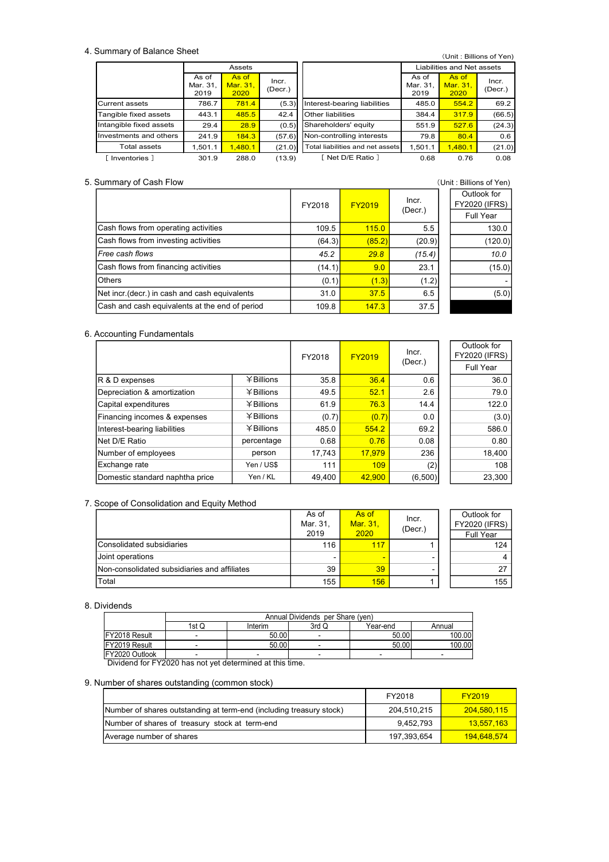#### 4. Summary of Balance Sheet

| Summary of Balance Sheet                         |                   | Assets            |               |                   |                                  |                   | (Unit: Billions of Yen)<br>Liabilities and Net assets |                                           |
|--------------------------------------------------|-------------------|-------------------|---------------|-------------------|----------------------------------|-------------------|-------------------------------------------------------|-------------------------------------------|
|                                                  | As of<br>Mar. 31, | As of<br>Mar. 31, | Incr.         |                   |                                  | As of<br>Mar. 31, | As of<br>Mar. 31,                                     | Incr.                                     |
|                                                  | 2019              | 2020              | (Decr.)       |                   |                                  | 2019              | 2020                                                  | (Decr.)                                   |
| Current assets                                   | 786.7             | 781.4             | (5.3)         | Other liabilities | Interest-bearing liabilities     | 485.0             | 554.2                                                 | 69.2                                      |
| Tangible fixed assets<br>Intangible fixed assets | 443.1<br>29.4     | 485.5<br>28.9     | 42.4<br>(0.5) |                   | Shareholders' equity             | 384.4<br>551.9    | 317.9<br>527.6                                        | (66.5)<br>(24.3)                          |
| Investments and others                           | 241.9             | 184.3             | (57.6)        |                   | Non-controlling interests        | 79.8              | 80.4                                                  | 0.6                                       |
| Total assets                                     | 1,501.1           | 1,480.1           | (21.0)        |                   | Total liabilities and net assets | 1,501.1           | 1,480.1                                               |                                           |
| [ Inventories ]                                  | 301.9             | 288.0             | (13.9)        |                   | [ Net D/E Ratio ]                | 0.68              | 0.76                                                  | (21.0)<br>0.08                            |
|                                                  |                   |                   |               |                   |                                  |                   | (Unit: Billions of Yen)                               |                                           |
| Summary of Cash Flow                             |                   |                   |               | FY2018            | FY2019                           | Incr.<br>(Decr.)  |                                                       | Outlook for<br>FY2020 (IFRS)<br>Full Year |

### 5. Summary of Cash Flow (Unit : Billions of Yen)

|                                                | FY2018 | <b>FY2019</b> | Incr.         | Outlook for<br><b>FY2020 (IFRS)</b> |
|------------------------------------------------|--------|---------------|---------------|-------------------------------------|
|                                                |        |               | $($ Decr. $)$ | Full Year                           |
| Cash flows from operating activities           | 109.5  | 115.0         | 5.5           | 130.0                               |
| Cash flows from investing activities           | (64.3) | (85.2)        | (20.9)        | (120.0)                             |
| Free cash flows                                | 45.2   | 29.8          | (15.4)        | 10.0                                |
| Cash flows from financing activities           | (14.1) | 9.0           | 23.1          | (15.0)                              |
| <b>Others</b>                                  | (0.1)  | (1.3)         | (1.2)         |                                     |
| Net incr. (decr.) in cash and cash equivalents | 31.0   | 37.5          | 6.5           | (5.0)                               |
| Cash and cash equivalents at the end of period | 109.8  | 147.3         | 37.5          |                                     |

#### 6. Accounting Fundamentals

|                                 |              | FY2018 | <b>FY2019</b> | Incr.   | Outlook for<br><b>FY2020 (IFRS)</b> |
|---------------------------------|--------------|--------|---------------|---------|-------------------------------------|
|                                 |              |        |               | (Decr.) | Full Year                           |
| R & D expenses                  | ¥ Billions   | 35.8   | 36.4          | 0.6     | 36.0                                |
| Depreciation & amortization     | $¥$ Billions | 49.5   | 52.1          | 2.6     | 79.0                                |
| Capital expenditures            | ¥ Billions   | 61.9   | 76.3          | 14.4    | 122.0                               |
| Financing incomes & expenses    | ¥ Billions   | (0.7)  | (0.7)         | 0.0     | (3.0)                               |
| Interest-bearing liabilities    | ¥ Billions   | 485.0  | 554.2         | 69.2    | 586.0                               |
| Net D/E Ratio                   | percentage   | 0.68   | 0.76          | 0.08    | 0.80                                |
| Number of employees             | person       | 17.743 | 17.979        | 236     | 18,400                              |
| Exchange rate                   | Yen / US\$   | 111    | 109           | (2)     | 108                                 |
| Domestic standard naphtha price | Yen / KL     | 49.400 | 42.900        | (6,500) | 23,300                              |

### 7. Scope of Consolidation and Equity Method

| Interest-bearing liabilities                                        |                        | 羊 Billions       | 485.0                                     | 554.2    | 69.2         | 586.0                |
|---------------------------------------------------------------------|------------------------|------------------|-------------------------------------------|----------|--------------|----------------------|
| Net D/E Ratio                                                       |                        | percentage       | 0.68                                      | 0.76     | 0.08         | 0.80                 |
| Number of employees                                                 |                        | person           | 17,743                                    | 17,979   | 236          | 18,400               |
| Exchange rate                                                       |                        | Yen / US\$       | 111                                       | 109      | (2)          | 108                  |
| Domestic standard naphtha price                                     |                        | Yen / KL         | 49,400                                    | 42,900   | (6,500)      | 23,300               |
|                                                                     |                        |                  |                                           |          |              |                      |
| Scope of Consolidation and Equity Method                            |                        |                  |                                           |          |              |                      |
|                                                                     |                        |                  | As of                                     | As of    | Incr.        | Outlook for          |
|                                                                     |                        |                  | Mar. 31,                                  | Mar. 31, | (Decr.)      | <b>FY2020 (IFRS)</b> |
|                                                                     |                        |                  | 2019                                      | 2020     |              | Full Year            |
| Consolidated subsidiaries                                           |                        |                  | 116                                       | 117      | 1            | 124                  |
| Joint operations                                                    |                        |                  |                                           |          |              | 4                    |
| Non-consolidated subsidiaries and affiliates                        |                        |                  | 39                                        | 39       |              | 27                   |
| Total                                                               |                        |                  | 155                                       | 156      | $\mathbf{1}$ | 155                  |
|                                                                     |                        |                  |                                           |          |              |                      |
| <b>Dividends</b>                                                    |                        |                  |                                           |          |              |                      |
|                                                                     |                        |                  | Annual Dividends per Share (yen)<br>3rd Q |          |              |                      |
| FY2018 Result                                                       | 1stQ<br>$\blacksquare$ | Interim<br>50.00 | $\blacksquare$                            | Year-end | 50.00        | Annual<br>100.00     |
| FY2019 Result                                                       | $\sim$                 | 50.00            | $\blacksquare$                            |          | 50.00        | 100.00               |
| FY2020 Outlook                                                      | $\blacksquare$         |                  | $\blacksquare$                            | $\sim$   |              |                      |
| Dividend for FY2020 has not yet determined at this time.            |                        |                  |                                           |          |              |                      |
| Number of shares outstanding (common stock)                         |                        |                  |                                           |          |              |                      |
|                                                                     |                        |                  |                                           |          | FY2018       | FY2019               |
|                                                                     |                        |                  |                                           |          |              |                      |
| Number of shares outstanding at term-end (including treasury stock) |                        |                  |                                           |          | 204,510,215  | 204,580,115          |
| Number of shares of treasury stock at term-end                      |                        |                  |                                           |          | 9,452,793    | 13,557,163           |
| Average number of shares                                            |                        |                  |                                           |          | 197,393,654  | 194,648,574          |
|                                                                     |                        |                  |                                           |          |              |                      |
|                                                                     |                        |                  |                                           |          |              |                      |
|                                                                     |                        |                  |                                           |          |              |                      |
|                                                                     |                        |                  |                                           |          |              |                      |
|                                                                     |                        |                  |                                           |          |              |                      |
|                                                                     |                        |                  |                                           |          |              |                      |

#### 8. Dividends

|                |       | Annual Dividends per Share (yen) |       |          |        |  |  |  |  |
|----------------|-------|----------------------------------|-------|----------|--------|--|--|--|--|
|                | 1st Q | Interim                          | 3rd Q | Year-end | Annual |  |  |  |  |
| FY2018 Result  |       | 50.00                            |       | 50.00    | 100.00 |  |  |  |  |
| FY2019 Result  |       | 50.00                            |       | 50.00    | 100.00 |  |  |  |  |
| FY2020 Outlook |       |                                  |       |          |        |  |  |  |  |

### 9. Number of shares outstanding (common stock)

|                                                                     | FY2018      | <b>FY2019</b> |
|---------------------------------------------------------------------|-------------|---------------|
| Number of shares outstanding at term-end (including treasury stock) | 204.510.215 | 204.580.115   |
| Number of shares of treasury stock at term-end                      | 9.452.793   | 13.557.163    |
| Average number of shares                                            | 197,393,654 | 194.648.574   |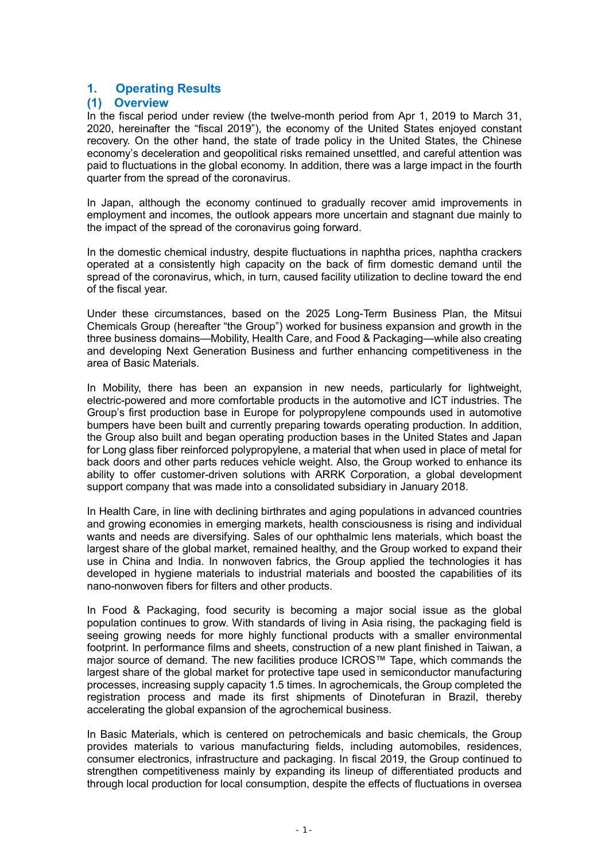# 1. Operating Results

# (1) Overview

In the fiscal period under review (the twelve-month period from Apr 1, 2019 to March 31, 2020, hereinafter the "fiscal 2019"), the economy of the United States enjoyed constant recovery. On the other hand, the state of trade policy in the United States, the Chinese economy's deceleration and geopolitical risks remained unsettled, and careful attention was paid to fluctuations in the global economy. In addition, there was a large impact in the fourth quarter from the spread of the coronavirus.

In Japan, although the economy continued to gradually recover amid improvements in employment and incomes, the outlook appears more uncertain and stagnant due mainly to the impact of the spread of the coronavirus going forward.

In the domestic chemical industry, despite fluctuations in naphtha prices, naphtha crackers operated at a consistently high capacity on the back of firm domestic demand until the spread of the coronavirus, which, in turn, caused facility utilization to decline toward the end of the fiscal year.

Under these circumstances, based on the 2025 Long-Term Business Plan, the Mitsui Chemicals Group (hereafter "the Group") worked for business expansion and growth in the three business domains—Mobility, Health Care, and Food & Packaging—while also creating and developing Next Generation Business and further enhancing competitiveness in the area of Basic Materials.

In Mobility, there has been an expansion in new needs, particularly for lightweight, electric-powered and more comfortable products in the automotive and ICT industries. The Group's first production base in Europe for polypropylene compounds used in automotive bumpers have been built and currently preparing towards operating production. In addition, the Group also built and began operating production bases in the United States and Japan for Long glass fiber reinforced polypropylene, a material that when used in place of metal for back doors and other parts reduces vehicle weight. Also, the Group worked to enhance its ability to offer customer-driven solutions with ARRK Corporation, a global development support company that was made into a consolidated subsidiary in January 2018.

In Health Care, in line with declining birthrates and aging populations in advanced countries and growing economies in emerging markets, health consciousness is rising and individual wants and needs are diversifying. Sales of our ophthalmic lens materials, which boast the largest share of the global market, remained healthy, and the Group worked to expand their use in China and India. In nonwoven fabrics, the Group applied the technologies it has developed in hygiene materials to industrial materials and boosted the capabilities of its nano-nonwoven fibers for filters and other products.

In Food & Packaging, food security is becoming a major social issue as the global population continues to grow. With standards of living in Asia rising, the packaging field is seeing growing needs for more highly functional products with a smaller environmental footprint. In performance films and sheets, construction of a new plant finished in Taiwan, a major source of demand. The new facilities produce ICROS™ Tape, which commands the largest share of the global market for protective tape used in semiconductor manufacturing processes, increasing supply capacity 1.5 times. In agrochemicals, the Group completed the registration process and made its first shipments of Dinotefuran in Brazil, thereby accelerating the global expansion of the agrochemical business.

In Basic Materials, which is centered on petrochemicals and basic chemicals, the Group provides materials to various manufacturing fields, including automobiles, residences, consumer electronics, infrastructure and packaging. In fiscal 2019, the Group continued to strengthen competitiveness mainly by expanding its lineup of differentiated products and through local production for local consumption, despite the effects of fluctuations in oversea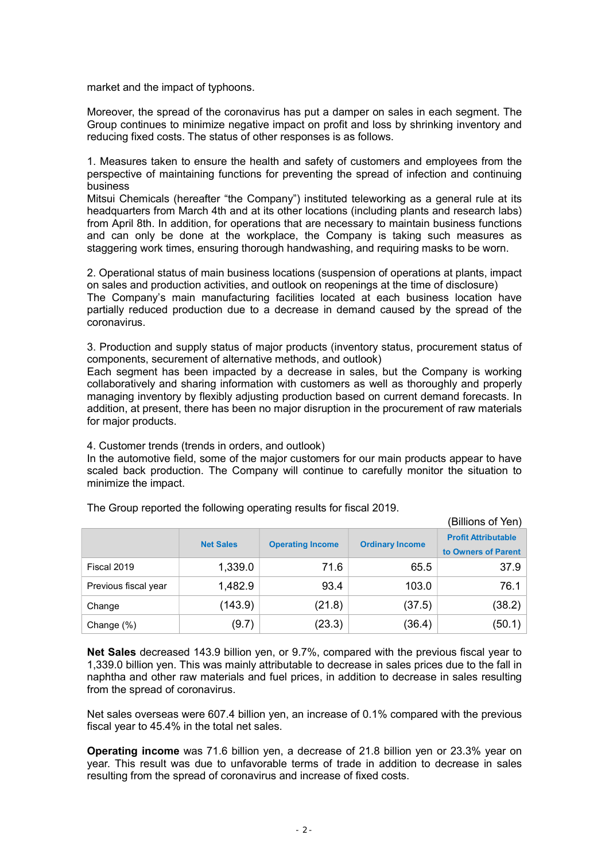market and the impact of typhoons.

Moreover, the spread of the coronavirus has put a damper on sales in each segment. The Group continues to minimize negative impact on profit and loss by shrinking inventory and reducing fixed costs. The status of other responses is as follows.

1. Measures taken to ensure the health and safety of customers and employees from the perspective of maintaining functions for preventing the spread of infection and continuing business

Mitsui Chemicals (hereafter "the Company") instituted teleworking as a general rule at its headquarters from March 4th and at its other locations (including plants and research labs) from April 8th. In addition, for operations that are necessary to maintain business functions and can only be done at the workplace, the Company is taking such measures as staggering work times, ensuring thorough handwashing, and requiring masks to be worn.

2. Operational status of main business locations (suspension of operations at plants, impact on sales and production activities, and outlook on reopenings at the time of disclosure)

The Company's main manufacturing facilities located at each business location have partially reduced production due to a decrease in demand caused by the spread of the coronavirus.

3. Production and supply status of major products (inventory status, procurement status of components, securement of alternative methods, and outlook)

Each segment has been impacted by a decrease in sales, but the Company is working collaboratively and sharing information with customers as well as thoroughly and properly managing inventory by flexibly adjusting production based on current demand forecasts. In addition, at present, there has been no major disruption in the procurement of raw materials for major products.

4. Customer trends (trends in orders, and outlook)

In the automotive field, some of the major customers for our main products appear to have scaled back production. The Company will continue to carefully monitor the situation to minimize the impact.

|                      |                  |                         |                        | (Billions of Yen)                                 |
|----------------------|------------------|-------------------------|------------------------|---------------------------------------------------|
|                      | <b>Net Sales</b> | <b>Operating Income</b> | <b>Ordinary Income</b> | <b>Profit Attributable</b><br>to Owners of Parent |
| Fiscal 2019          | 1,339.0          | 71.6                    | 65.5                   | 37.9                                              |
| Previous fiscal year | 1,482.9          | 93.4                    | 103.0                  | 76.1                                              |
| Change               | (143.9)          | (21.8)                  | (37.5)                 | (38.2)                                            |
| Change (%)           | (9.7)            | (23.3)                  | (36.4)                 | (50.1)                                            |

The Group reported the following operating results for fiscal 2019.

Net Sales decreased 143.9 billion yen, or 9.7%, compared with the previous fiscal year to 1,339.0 billion yen. This was mainly attributable to decrease in sales prices due to the fall in naphtha and other raw materials and fuel prices, in addition to decrease in sales resulting from the spread of coronavirus.

Net sales overseas were 607.4 billion yen, an increase of 0.1% compared with the previous fiscal year to 45.4% in the total net sales.

Operating income was 71.6 billion yen, a decrease of 21.8 billion yen or 23.3% year on year. This result was due to unfavorable terms of trade in addition to decrease in sales resulting from the spread of coronavirus and increase of fixed costs.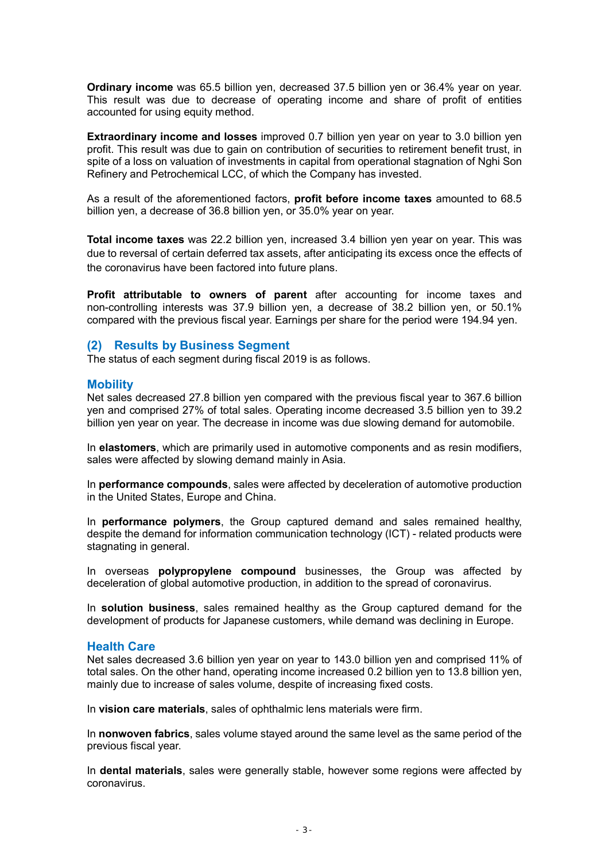Ordinary income was 65.5 billion yen, decreased 37.5 billion yen or 36.4% year on year. This result was due to decrease of operating income and share of profit of entities accounted for using equity method.

Extraordinary income and losses improved 0.7 billion yen year on year to 3.0 billion yen profit. This result was due to gain on contribution of securities to retirement benefit trust, in spite of a loss on valuation of investments in capital from operational stagnation of Nghi Son Refinery and Petrochemical LCC, of which the Company has invested.

As a result of the aforementioned factors, profit before income taxes amounted to 68.5 billion yen, a decrease of 36.8 billion yen, or 35.0% year on year.

Total income taxes was 22.2 billion yen, increased 3.4 billion yen year on year. This was due to reversal of certain deferred tax assets, after anticipating its excess once the effects of the coronavirus have been factored into future plans.

Profit attributable to owners of parent after accounting for income taxes and non-controlling interests was 37.9 billion yen, a decrease of 38.2 billion yen, or 50.1% compared with the previous fiscal year. Earnings per share for the period were 194.94 yen.

### (2) Results by Business Segment

The status of each segment during fiscal 2019 is as follows.

### **Mobility**

Net sales decreased 27.8 billion yen compared with the previous fiscal year to 367.6 billion yen and comprised 27% of total sales. Operating income decreased 3.5 billion yen to 39.2 billion yen year on year. The decrease in income was due slowing demand for automobile.

In elastomers, which are primarily used in automotive components and as resin modifiers, sales were affected by slowing demand mainly in Asia.

In performance compounds, sales were affected by deceleration of automotive production in the United States, Europe and China.

In **performance polymers**, the Group captured demand and sales remained healthy. despite the demand for information communication technology (ICT) - related products were stagnating in general.

In overseas **polypropylene compound** businesses, the Group was affected by deceleration of global automotive production, in addition to the spread of coronavirus.

In solution business, sales remained healthy as the Group captured demand for the development of products for Japanese customers, while demand was declining in Europe.

### Health Care

Net sales decreased 3.6 billion yen year on year to 143.0 billion yen and comprised 11% of total sales. On the other hand, operating income increased 0.2 billion yen to 13.8 billion yen, mainly due to increase of sales volume, despite of increasing fixed costs.

In vision care materials, sales of ophthalmic lens materials were firm.

In nonwoven fabrics, sales volume stayed around the same level as the same period of the previous fiscal year.

In dental materials, sales were generally stable, however some regions were affected by coronavirus.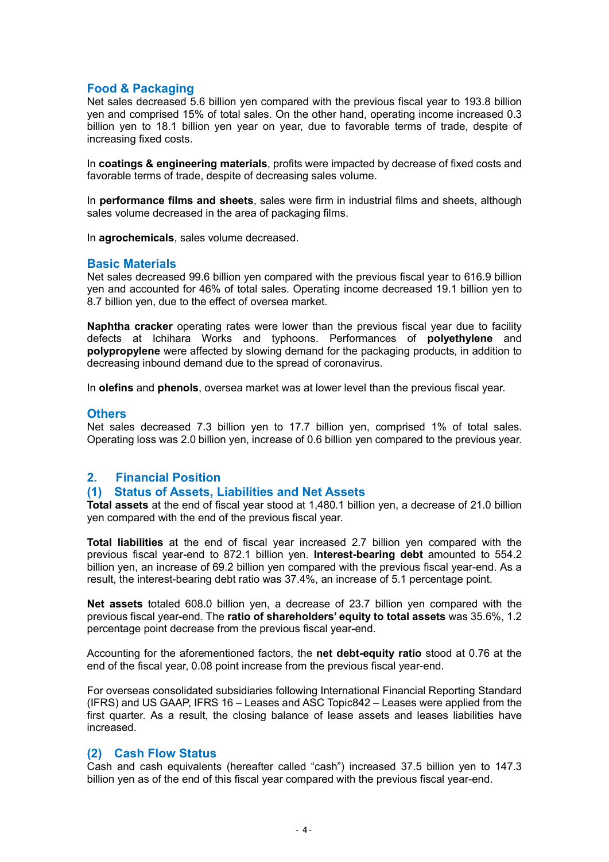# Food & Packaging

Net sales decreased 5.6 billion yen compared with the previous fiscal year to 193.8 billion yen and comprised 15% of total sales. On the other hand, operating income increased 0.3 billion yen to 18.1 billion yen year on year, due to favorable terms of trade, despite of increasing fixed costs.

In coatings & engineering materials, profits were impacted by decrease of fixed costs and favorable terms of trade, despite of decreasing sales volume.

In performance films and sheets, sales were firm in industrial films and sheets, although sales volume decreased in the area of packaging films.

In agrochemicals, sales volume decreased.

### Basic Materials

Net sales decreased 99.6 billion yen compared with the previous fiscal year to 616.9 billion yen and accounted for 46% of total sales. Operating income decreased 19.1 billion yen to 8.7 billion yen, due to the effect of oversea market.

Naphtha cracker operating rates were lower than the previous fiscal year due to facility defects at Ichihara Works and typhoons. Performances of polyethylene and polypropylene were affected by slowing demand for the packaging products, in addition to decreasing inbound demand due to the spread of coronavirus.

In olefins and phenols, oversea market was at lower level than the previous fiscal year.

### **Others**

Net sales decreased 7.3 billion yen to 17.7 billion yen, comprised 1% of total sales. Operating loss was 2.0 billion yen, increase of 0.6 billion yen compared to the previous year.

# 2. Financial Position

### (1) Status of Assets, Liabilities and Net Assets

Total assets at the end of fiscal year stood at 1,480.1 billion yen, a decrease of 21.0 billion yen compared with the end of the previous fiscal year.

Total liabilities at the end of fiscal year increased 2.7 billion yen compared with the previous fiscal year-end to 872.1 billion yen. Interest-bearing debt amounted to 554.2 billion yen, an increase of 69.2 billion yen compared with the previous fiscal year-end. As a result, the interest-bearing debt ratio was 37.4%, an increase of 5.1 percentage point.

Net assets totaled 608.0 billion yen, a decrease of 23.7 billion yen compared with the previous fiscal year-end. The ratio of shareholders' equity to total assets was 35.6%, 1.2 percentage point decrease from the previous fiscal year-end.

Accounting for the aforementioned factors, the net debt-equity ratio stood at 0.76 at the end of the fiscal year, 0.08 point increase from the previous fiscal year-end.

For overseas consolidated subsidiaries following International Financial Reporting Standard (IFRS) and US GAAP, IFRS 16 – Leases and ASC Topic842 – Leases were applied from the first quarter. As a result, the closing balance of lease assets and leases liabilities have increased.

# (2) Cash Flow Status

Cash and cash equivalents (hereafter called "cash") increased 37.5 billion yen to 147.3 billion yen as of the end of this fiscal year compared with the previous fiscal year-end.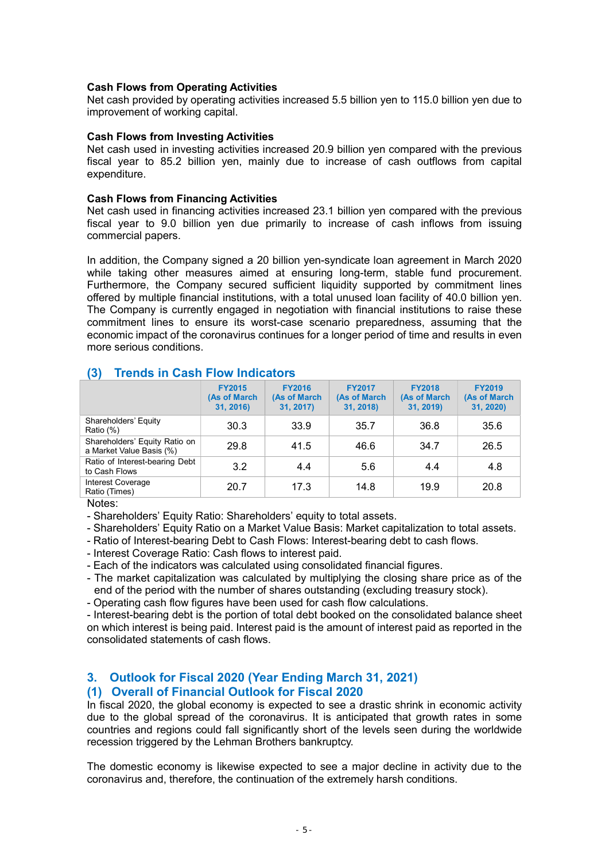### Cash Flows from Operating Activities

Net cash provided by operating activities increased 5.5 billion yen to 115.0 billion yen due to improvement of working capital.

### Cash Flows from Investing Activities

Net cash used in investing activities increased 20.9 billion yen compared with the previous fiscal year to 85.2 billion yen, mainly due to increase of cash outflows from capital expenditure.

### Cash Flows from Financing Activities

Net cash used in financing activities increased 23.1 billion yen compared with the previous fiscal year to 9.0 billion yen due primarily to increase of cash inflows from issuing commercial papers.

In addition, the Company signed a 20 billion yen-syndicate loan agreement in March 2020 while taking other measures aimed at ensuring long-term, stable fund procurement. Furthermore, the Company secured sufficient liquidity supported by commitment lines offered by multiple financial institutions, with a total unused loan facility of 40.0 billion yen. The Company is currently engaged in negotiation with financial institutions to raise these commitment lines to ensure its worst-case scenario preparedness, assuming that the economic impact of the coronavirus continues for a longer period of time and results in even more serious conditions.

# (3) Trends in Cash Flow Indicators

|                                                           | <b>FY2015</b><br>(As of March<br>31, 2016) | <b>FY2016</b><br>(As of March<br>31, 2017) | <b>FY2017</b><br>(As of March<br>31, 2018) | <b>FY2018</b><br>(As of March<br>31, 2019) | <b>FY2019</b><br>(As of March<br>31, 2020) |
|-----------------------------------------------------------|--------------------------------------------|--------------------------------------------|--------------------------------------------|--------------------------------------------|--------------------------------------------|
| Shareholders' Equity<br>Ratio (%)                         | 30.3                                       | 33.9                                       | 35.7                                       | 36.8                                       | 35.6                                       |
| Shareholders' Equity Ratio on<br>a Market Value Basis (%) | 29.8                                       | 41.5                                       | 46.6                                       | 34.7                                       | 26.5                                       |
| Ratio of Interest-bearing Debt<br>to Cash Flows           | 3.2                                        | 4.4                                        | 5.6                                        | 4.4                                        | 4.8                                        |
| <b>Interest Coverage</b><br>Ratio (Times)                 | 20.7                                       | 17.3                                       | 14.8                                       | 19.9                                       | 20.8                                       |

Notes:

- Shareholders' Equity Ratio: Shareholders' equity to total assets.

- Shareholders' Equity Ratio on a Market Value Basis: Market capitalization to total assets.

- Ratio of Interest-bearing Debt to Cash Flows: Interest-bearing debt to cash flows.

- Interest Coverage Ratio: Cash flows to interest paid.

- Each of the indicators was calculated using consolidated financial figures.

- The market capitalization was calculated by multiplying the closing share price as of the end of the period with the number of shares outstanding (excluding treasury stock).

- Operating cash flow figures have been used for cash flow calculations.

- Interest-bearing debt is the portion of total debt booked on the consolidated balance sheet on which interest is being paid. Interest paid is the amount of interest paid as reported in the consolidated statements of cash flows.

# 3. Outlook for Fiscal 2020 (Year Ending March 31, 2021) (1) Overall of Financial Outlook for Fiscal 2020

In fiscal 2020, the global economy is expected to see a drastic shrink in economic activity due to the global spread of the coronavirus. It is anticipated that growth rates in some countries and regions could fall significantly short of the levels seen during the worldwide recession triggered by the Lehman Brothers bankruptcy.

The domestic economy is likewise expected to see a major decline in activity due to the coronavirus and, therefore, the continuation of the extremely harsh conditions.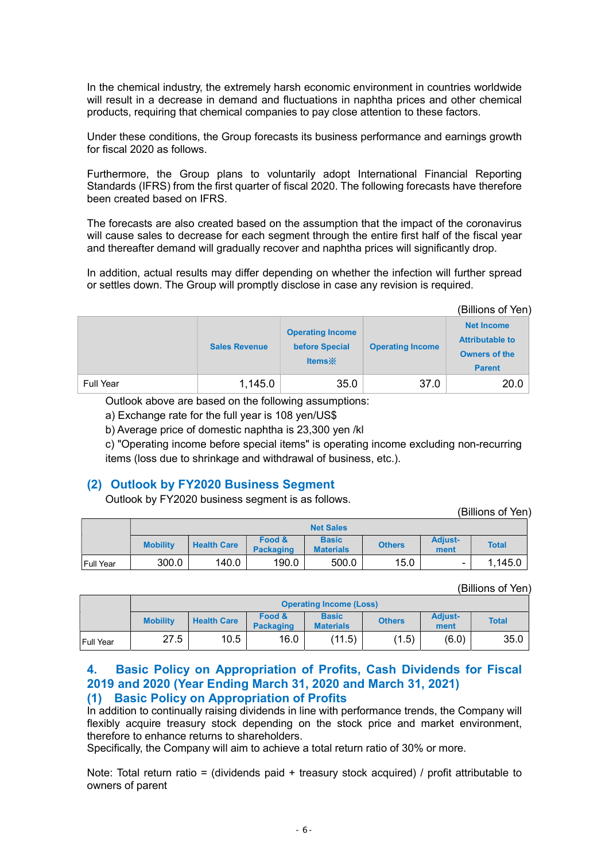In the chemical industry, the extremely harsh economic environment in countries worldwide will result in a decrease in demand and fluctuations in naphtha prices and other chemical products, requiring that chemical companies to pay close attention to these factors.

Under these conditions, the Group forecasts its business performance and earnings growth for fiscal 2020 as follows.

Furthermore, the Group plans to voluntarily adopt International Financial Reporting Standards (IFRS) from the first quarter of fiscal 2020. The following forecasts have therefore been created based on IFRS.

The forecasts are also created based on the assumption that the impact of the coronavirus will cause sales to decrease for each segment through the entire first half of the fiscal year and thereafter demand will gradually recover and naphtha prices will significantly drop.

In addition, actual results may differ depending on whether the infection will further spread or settles down. The Group will promptly disclose in case any revision is required.

(Billions of Yen)

|           | <b>Sales Revenue</b> | <b>Operating Income</b><br>before Special<br><b>Items</b> | <b>Operating Income</b> | <b>Net Income</b><br><b>Attributable to</b><br><b>Owners of the</b><br><b>Parent</b> |
|-----------|----------------------|-----------------------------------------------------------|-------------------------|--------------------------------------------------------------------------------------|
| Full Year | 1,145.0              | 35.0                                                      | 37.0                    | 20.0                                                                                 |

Outlook above are based on the following assumptions:

a) Exchange rate for the full year is 108 yen/US\$

b) Average price of domestic naphtha is 23,300 yen /kl

c) "Operating income before special items" is operating income excluding non-recurring items (loss due to shrinkage and withdrawal of business, etc.).

# (2) Outlook by FY2020 Business Segment

Outlook by FY2020 business segment is as follows.

(Billions of Yen)

|                   | <b>Net Sales</b> |                    |                            |                                  |               |                          |              |  |  |  |  |  |
|-------------------|------------------|--------------------|----------------------------|----------------------------------|---------------|--------------------------|--------------|--|--|--|--|--|
|                   | <b>Mobility</b>  | <b>Health Care</b> | Food &<br><b>Packaging</b> | <b>Basic</b><br><b>Materials</b> | <b>Others</b> | <b>Adjust-</b><br>ment   | <b>Total</b> |  |  |  |  |  |
| <b>IFull Year</b> | 300.0            | 140.0              | 190.0                      | 500.0                            | 15.0          | $\overline{\phantom{0}}$ | 1,145.0      |  |  |  |  |  |

(Billions of Yen)

|                  |                 | <b>Operating Income (Loss)</b> |                            |                                  |               |                        |              |  |  |  |  |  |
|------------------|-----------------|--------------------------------|----------------------------|----------------------------------|---------------|------------------------|--------------|--|--|--|--|--|
|                  | <b>Mobility</b> | <b>Health Care</b>             | Food &<br><b>Packaging</b> | <b>Basic</b><br><b>Materials</b> | <b>Others</b> | <b>Adjust-</b><br>ment | <b>Total</b> |  |  |  |  |  |
| <b>Full Year</b> | 27.5            | 10.5                           | 16.0                       | (11.5)                           | (1.5)         | (6.0)                  | 35.0         |  |  |  |  |  |

# 4. Basic Policy on Appropriation of Profits, Cash Dividends for Fiscal 2019 and 2020 (Year Ending March 31, 2020 and March 31, 2021) (1) Basic Policy on Appropriation of Profits

In addition to continually raising dividends in line with performance trends, the Company will flexibly acquire treasury stock depending on the stock price and market environment. therefore to enhance returns to shareholders.

Specifically, the Company will aim to achieve a total return ratio of 30% or more.

Note: Total return ratio = (dividends paid + treasury stock acquired) / profit attributable to owners of parent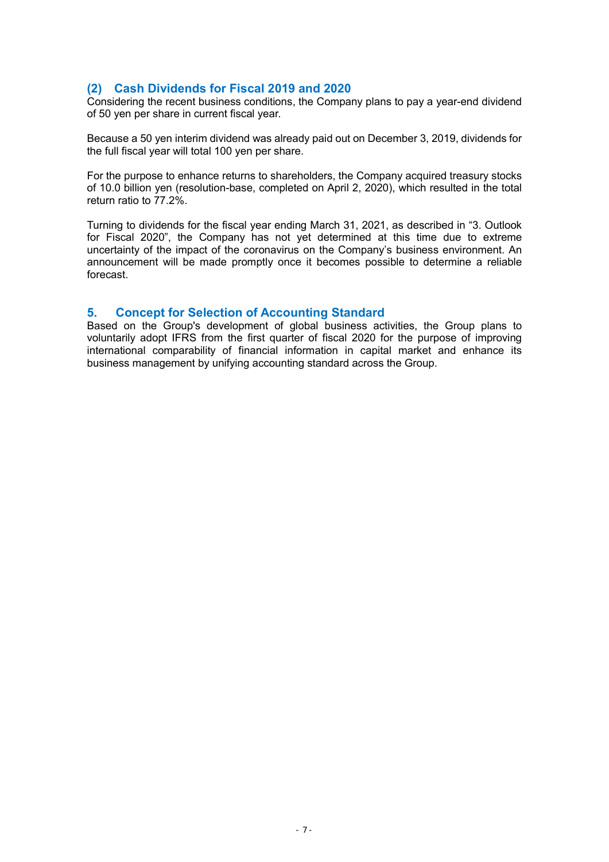# (2) Cash Dividends for Fiscal 2019 and 2020

Considering the recent business conditions, the Company plans to pay a year-end dividend of 50 yen per share in current fiscal year.

Because a 50 yen interim dividend was already paid out on December 3, 2019, dividends for the full fiscal year will total 100 yen per share.

For the purpose to enhance returns to shareholders, the Company acquired treasury stocks of 10.0 billion yen (resolution-base, completed on April 2, 2020), which resulted in the total return ratio to 77.2%.

Turning to dividends for the fiscal year ending March 31, 2021, as described in "3. Outlook for Fiscal 2020", the Company has not yet determined at this time due to extreme uncertainty of the impact of the coronavirus on the Company's business environment. An announcement will be made promptly once it becomes possible to determine a reliable forecast.

# 5. Concept for Selection of Accounting Standard

Based on the Group's development of global business activities, the Group plans to voluntarily adopt IFRS from the first quarter of fiscal 2020 for the purpose of improving international comparability of financial information in capital market and enhance its business management by unifying accounting standard across the Group.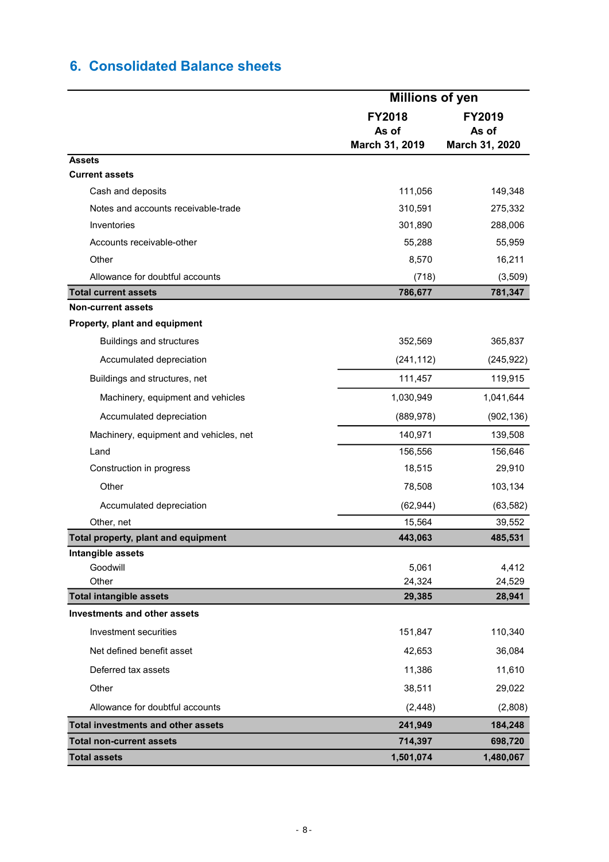# 6. Consolidated Balance sheets

|                                           | <b>Millions of yen</b> |                        |  |  |
|-------------------------------------------|------------------------|------------------------|--|--|
|                                           | <b>FY2018</b><br>As of | <b>FY2019</b><br>As of |  |  |
|                                           | March 31, 2019         | March 31, 2020         |  |  |
| <b>Assets</b><br><b>Current assets</b>    |                        |                        |  |  |
| Cash and deposits                         | 111,056                | 149,348                |  |  |
| Notes and accounts receivable-trade       | 310,591                | 275,332                |  |  |
| Inventories                               | 301,890                | 288,006                |  |  |
| Accounts receivable-other                 |                        |                        |  |  |
| Other                                     | 55,288<br>8,570        | 55,959<br>16,211       |  |  |
| Allowance for doubtful accounts           |                        |                        |  |  |
| <b>Total current assets</b>               | (718)<br>786,677       | (3,509)<br>781,347     |  |  |
| <b>Non-current assets</b>                 |                        |                        |  |  |
| Property, plant and equipment             |                        |                        |  |  |
| <b>Buildings and structures</b>           | 352,569                | 365,837                |  |  |
| Accumulated depreciation                  | (241, 112)             | (245, 922)             |  |  |
| Buildings and structures, net             | 111,457                | 119,915                |  |  |
| Machinery, equipment and vehicles         | 1,030,949              | 1,041,644              |  |  |
| Accumulated depreciation                  | (889, 978)             | (902, 136)             |  |  |
| Machinery, equipment and vehicles, net    | 140,971                | 139,508                |  |  |
| Land                                      | 156,556                | 156,646                |  |  |
| Construction in progress                  | 18,515                 | 29,910                 |  |  |
| Other                                     | 78,508                 | 103,134                |  |  |
| Accumulated depreciation                  | (62, 944)              | (63, 582)              |  |  |
| Other, net                                | 15,564                 | 39,552                 |  |  |
| Total property, plant and equipment       | 443,063                | 485,531                |  |  |
| Intangible assets                         |                        |                        |  |  |
| Goodwill<br>Other                         | 5,061                  | 4,412                  |  |  |
| <b>Total intangible assets</b>            | 24,324<br>29,385       | 24,529<br>28,941       |  |  |
| Investments and other assets              |                        |                        |  |  |
| Investment securities                     | 151,847                | 110,340                |  |  |
| Net defined benefit asset                 | 42,653                 | 36,084                 |  |  |
| Deferred tax assets                       | 11,386                 | 11,610                 |  |  |
| Other                                     | 38,511                 | 29,022                 |  |  |
| Allowance for doubtful accounts           | (2, 448)               | (2,808)                |  |  |
| <b>Total investments and other assets</b> | 241,949                | 184,248                |  |  |
| <b>Total non-current assets</b>           | 714,397                | 698,720                |  |  |
| <b>Total assets</b>                       | 1,501,074              | 1,480,067              |  |  |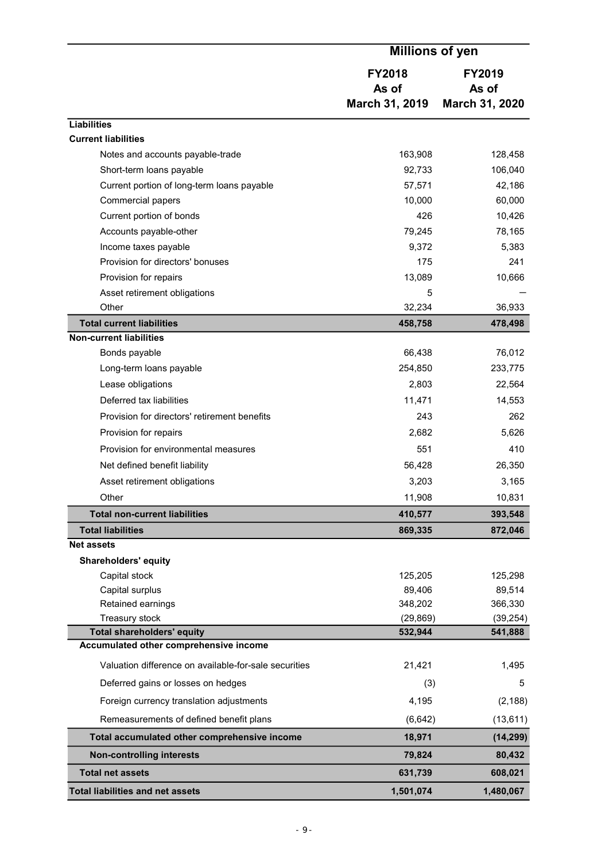|                                                       | <b>Millions of yen</b>                   |                                          |
|-------------------------------------------------------|------------------------------------------|------------------------------------------|
|                                                       | <b>FY2018</b><br>As of<br>March 31, 2019 | <b>FY2019</b><br>As of<br>March 31, 2020 |
| <b>Liabilities</b>                                    |                                          |                                          |
| <b>Current liabilities</b>                            |                                          |                                          |
| Notes and accounts payable-trade                      | 163,908                                  | 128,458                                  |
| Short-term loans payable                              | 92,733                                   | 106,040                                  |
| Current portion of long-term loans payable            | 57,571                                   | 42,186                                   |
| Commercial papers                                     | 10,000                                   | 60,000                                   |
| Current portion of bonds                              | 426                                      | 10,426                                   |
| Accounts payable-other                                | 79,245                                   | 78,165                                   |
| Income taxes payable                                  | 9,372                                    | 5,383                                    |
| Provision for directors' bonuses                      | 175                                      | 241                                      |
| Provision for repairs                                 | 13,089                                   | 10,666                                   |
| Asset retirement obligations                          | 5                                        |                                          |
| Other                                                 | 32,234                                   | 36,933                                   |
| <b>Total current liabilities</b>                      | 458,758                                  | 478,498                                  |
| <b>Non-current liabilities</b>                        |                                          |                                          |
| Bonds payable                                         | 66,438                                   | 76,012                                   |
| Long-term loans payable                               | 254,850                                  | 233,775                                  |
| Lease obligations                                     | 2,803                                    | 22,564                                   |
| Deferred tax liabilities                              | 11,471                                   | 14,553                                   |
| Provision for directors' retirement benefits          | 243                                      | 262                                      |
| Provision for repairs                                 | 2,682                                    | 5,626                                    |
| Provision for environmental measures                  | 551                                      | 410                                      |
| Net defined benefit liability                         | 56,428                                   | 26,350                                   |
| Asset retirement obligations                          | 3,203                                    | 3,165                                    |
| Other                                                 | 11,908                                   | 10,831                                   |
| <b>Total non-current liabilities</b>                  | 410,577                                  | 393,548                                  |
| <b>Total liabilities</b>                              | 869,335                                  | 872,046                                  |
| <b>Net assets</b>                                     |                                          |                                          |
| <b>Shareholders' equity</b>                           |                                          |                                          |
| Capital stock                                         | 125,205                                  | 125,298                                  |
| Capital surplus                                       | 89,406                                   | 89,514                                   |
| Retained earnings                                     | 348,202                                  | 366,330                                  |
| Treasury stock<br><b>Total shareholders' equity</b>   | (29, 869)<br>532,944                     | (39, 254)<br>541,888                     |
| Accumulated other comprehensive income                |                                          |                                          |
|                                                       |                                          |                                          |
| Valuation difference on available-for-sale securities | 21,421                                   | 1,495                                    |
| Deferred gains or losses on hedges                    | (3)                                      | 5                                        |
| Foreign currency translation adjustments              | 4,195                                    | (2, 188)                                 |
| Remeasurements of defined benefit plans               | (6, 642)                                 | (13, 611)                                |
| Total accumulated other comprehensive income          | 18,971                                   | (14, 299)                                |
| <b>Non-controlling interests</b>                      | 79,824                                   | 80,432                                   |
| <b>Total net assets</b>                               | 631,739                                  | 608,021                                  |
| <b>Total liabilities and net assets</b>               | 1,501,074                                | 1,480,067                                |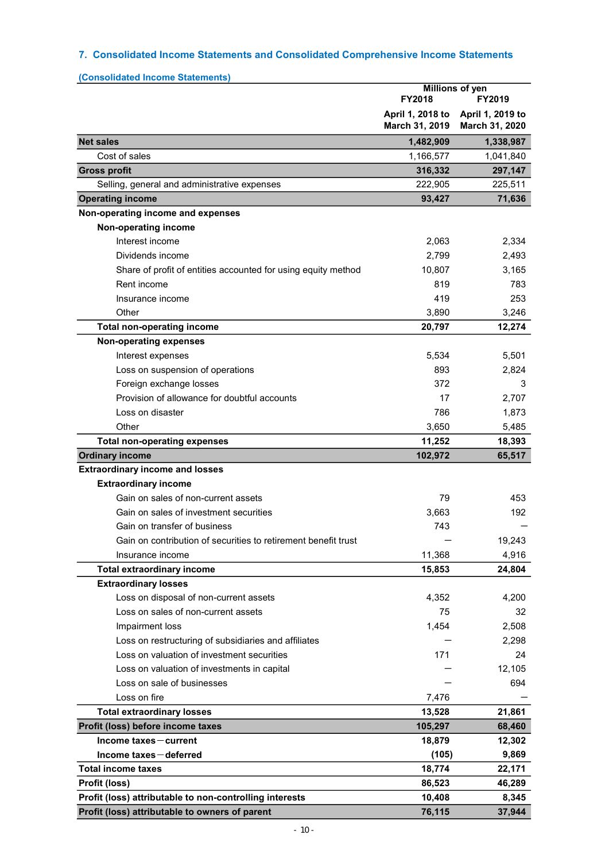# 7. Consolidated Income Statements and Consolidated Comprehensive Income Statements

| (Consolidated Income Statements)                               |                                    |                                    |
|----------------------------------------------------------------|------------------------------------|------------------------------------|
|                                                                | FY2018                             | Millions of yen<br>FY2019          |
|                                                                | April 1, 2018 to<br>March 31, 2019 | April 1, 2019 to<br>March 31, 2020 |
| <b>Net sales</b>                                               | 1,482,909                          | 1,338,987                          |
| Cost of sales                                                  | 1,166,577                          | 1,041,840                          |
| <b>Gross profit</b>                                            | 316,332                            | 297,147                            |
| Selling, general and administrative expenses                   | 222,905                            | 225,511                            |
| <b>Operating income</b>                                        | 93,427                             | 71,636                             |
| Non-operating income and expenses                              |                                    |                                    |
| Non-operating income                                           |                                    |                                    |
| Interest income                                                | 2,063                              | 2,334                              |
| Dividends income                                               | 2,799                              | 2,493                              |
| Share of profit of entities accounted for using equity method  | 10,807                             | 3,165                              |
| Rent income                                                    | 819                                | 783                                |
| Insurance income                                               | 419                                | 253                                |
| Other                                                          | 3,890                              | 3,246                              |
| <b>Total non-operating income</b>                              | 20,797                             | 12,274                             |
| <b>Non-operating expenses</b>                                  |                                    |                                    |
| Interest expenses                                              | 5,534                              | 5,501                              |
| Loss on suspension of operations                               | 893                                | 2,824                              |
| Foreign exchange losses                                        | 372                                | 3                                  |
| Provision of allowance for doubtful accounts                   | 17                                 | 2,707                              |
| Loss on disaster                                               | 786                                | 1,873                              |
| Other                                                          | 3,650                              | 5,485                              |
| <b>Total non-operating expenses</b>                            | 11,252                             | 18,393                             |
| <b>Ordinary income</b>                                         | 102,972                            | 65,517                             |
| <b>Extraordinary income and losses</b>                         |                                    |                                    |
| <b>Extraordinary income</b>                                    |                                    |                                    |
| Gain on sales of non-current assets                            | 79                                 | 453                                |
| Gain on sales of investment securities                         | 3,663                              | 192                                |
| Gain on transfer of business                                   | 743                                |                                    |
| Gain on contribution of securities to retirement benefit trust |                                    | 19,243                             |
| Insurance income                                               | 11,368                             | 4,916                              |
| <b>Total extraordinary income</b>                              | 15,853                             | 24,804                             |
| <b>Extraordinary losses</b>                                    |                                    |                                    |
| Loss on disposal of non-current assets                         | 4,352                              | 4.200                              |
| Loss on sales of non-current assets                            | 75                                 | 32                                 |
| Impairment loss                                                | 1,454                              | 2,508                              |
| Loss on restructuring of subsidiaries and affiliates           |                                    | 2,298                              |
| Loss on valuation of investment securities                     | 171                                | 24                                 |
| Loss on valuation of investments in capital                    |                                    | 12,105                             |
| Loss on sale of businesses                                     |                                    | 694                                |
| Loss on fire                                                   | 7,476                              |                                    |
| <b>Total extraordinary losses</b>                              | 13,528                             | 21,861                             |
| Profit (loss) before income taxes                              | 105,297                            | 68,460                             |
| Income taxes-current                                           | 18,879                             | 12,302                             |
| Income taxes-deferred<br><b>Total income taxes</b>             | (105)                              | 9,869                              |
| Profit (loss)                                                  | 18,774                             | 22,171                             |
| Profit (loss) attributable to non-controlling interests        | 86,523<br>10,408                   | 46,289<br>8,345                    |
| Profit (loss) attributable to owners of parent                 | 76,115                             | 37,944                             |
|                                                                |                                    |                                    |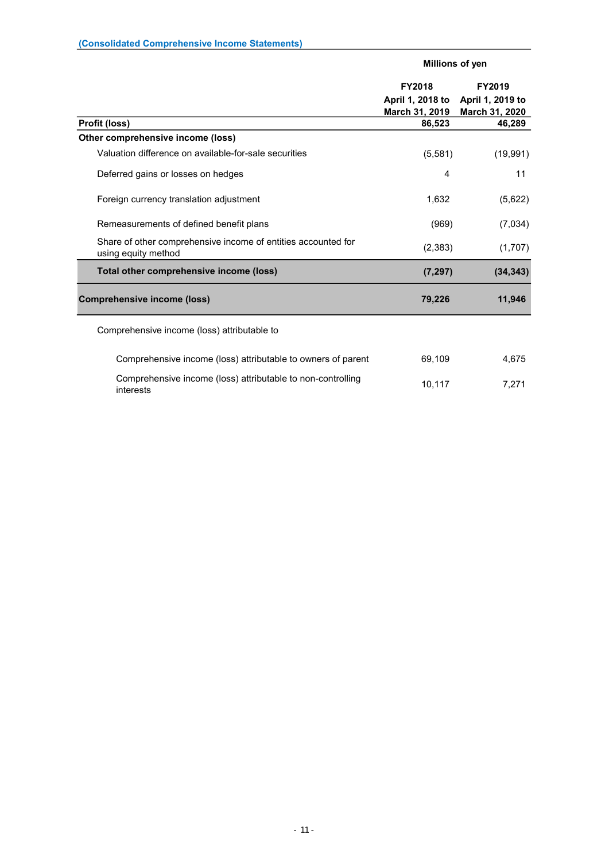|                                                                                      | Millions of yen                    |                                    |  |
|--------------------------------------------------------------------------------------|------------------------------------|------------------------------------|--|
|                                                                                      | <b>FY2018</b>                      | FY2019                             |  |
|                                                                                      | April 1, 2018 to<br>March 31, 2019 | April 1, 2019 to<br>March 31, 2020 |  |
| Profit (loss)                                                                        | 86,523                             | 46,289                             |  |
| Other comprehensive income (loss)                                                    |                                    |                                    |  |
| Valuation difference on available-for-sale securities                                | (5,581)                            | (19,991)                           |  |
| Deferred gains or losses on hedges                                                   | 4                                  | 11                                 |  |
| Foreign currency translation adjustment                                              | 1,632                              | (5,622)                            |  |
| Remeasurements of defined benefit plans                                              | (969)                              | (7,034)                            |  |
| Share of other comprehensive income of entities accounted for<br>using equity method | (2, 383)                           | (1,707)                            |  |
| Total other comprehensive income (loss)                                              | (7, 297)                           | (34, 343)                          |  |
| <b>Comprehensive income (loss)</b>                                                   | 79,226                             | 11,946                             |  |
| Comprehensive income (loss) attributable to                                          |                                    |                                    |  |
| Comprehensive income (loss) attributable to owners of parent                         | 69,109                             | 4,675                              |  |
| Comprehensive income (loss) attributable to non-controlling<br>interests             | 10,117                             | 7.271                              |  |

- 11 -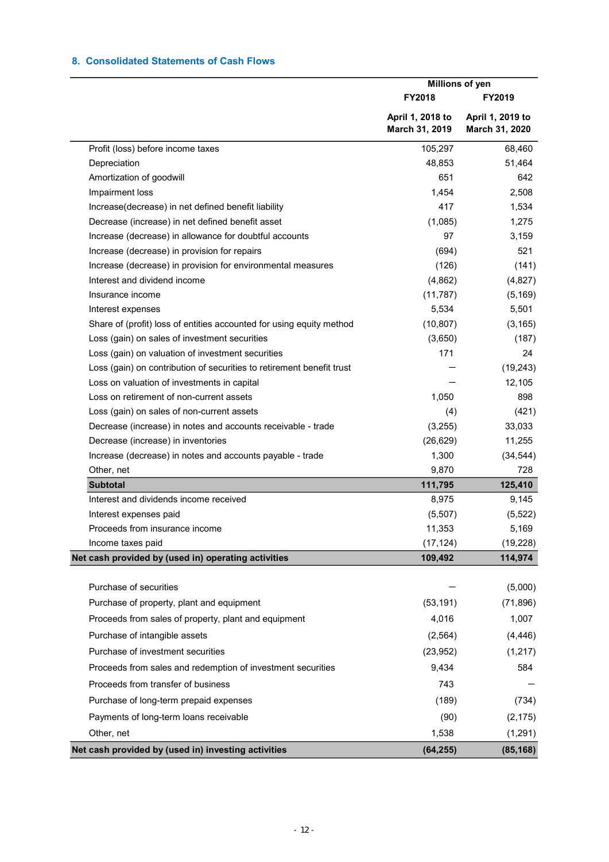# 8. Consolidated Statements of Cash Flows

|                                                                       | Millions of yen                    |                                    |  |
|-----------------------------------------------------------------------|------------------------------------|------------------------------------|--|
|                                                                       | <b>FY2018</b>                      | <b>FY2019</b>                      |  |
|                                                                       | April 1, 2018 to<br>March 31, 2019 | April 1, 2019 to<br>March 31, 2020 |  |
| Profit (loss) before income taxes                                     | 105,297                            | 68,460                             |  |
| Depreciation                                                          | 48,853                             | 51,464                             |  |
| Amortization of goodwill                                              | 651                                | 642                                |  |
| Impairment loss                                                       | 1,454                              | 2,508                              |  |
| Increase(decrease) in net defined benefit liability                   | 417                                | 1,534                              |  |
| Decrease (increase) in net defined benefit asset                      | (1,085)                            | 1,275                              |  |
| Increase (decrease) in allowance for doubtful accounts                | 97                                 | 3,159                              |  |
| Increase (decrease) in provision for repairs                          | (694)                              | 521                                |  |
| Increase (decrease) in provision for environmental measures           | (126)                              | (141)                              |  |
| Interest and dividend income                                          | (4,862)                            | (4,827)                            |  |
| Insurance income                                                      | (11, 787)                          | (5, 169)                           |  |
| Interest expenses                                                     | 5,534                              | 5,501                              |  |
| Share of (profit) loss of entities accounted for using equity method  | (10, 807)                          | (3, 165)                           |  |
| Loss (gain) on sales of investment securities                         | (3,650)                            | (187)                              |  |
| Loss (gain) on valuation of investment securities                     | 171                                | 24                                 |  |
| Loss (gain) on contribution of securities to retirement benefit trust |                                    | (19, 243)                          |  |
| Loss on valuation of investments in capital                           |                                    | 12,105                             |  |
| Loss on retirement of non-current assets                              | 1,050                              | 898                                |  |
| Loss (gain) on sales of non-current assets                            | (4)                                | (421)                              |  |
| Decrease (increase) in notes and accounts receivable - trade          | (3,255)                            | 33,033                             |  |
| Decrease (increase) in inventories                                    | (26, 629)                          | 11,255                             |  |
| Increase (decrease) in notes and accounts payable - trade             | 1,300                              | (34, 544)                          |  |
| Other, net                                                            | 9,870                              | 728                                |  |
| <b>Subtotal</b>                                                       | 111,795                            | 125,410                            |  |
| Interest and dividends income received                                | 8,975                              | 9,145                              |  |
| Interest expenses paid                                                | (5,507)                            | (5, 522)                           |  |
| Proceeds from insurance income                                        | 11,353                             | 5,169                              |  |
| Income taxes paid                                                     | (17, 124)                          | (19, 228)                          |  |
| Net cash provided by (used in) operating activities                   | 109,492                            | 114,974                            |  |
| Purchase of securities                                                |                                    | (5,000)                            |  |
| Purchase of property, plant and equipment                             | (53, 191)                          | (71, 896)                          |  |
| Proceeds from sales of property, plant and equipment                  | 4,016                              | 1,007                              |  |
| Purchase of intangible assets                                         | (2, 564)                           | (4, 446)                           |  |
| Purchase of investment securities                                     | (23, 952)                          | (1, 217)                           |  |
| Proceeds from sales and redemption of investment securities           | 9,434                              | 584                                |  |
| Proceeds from transfer of business                                    | 743                                |                                    |  |
| Purchase of long-term prepaid expenses                                | (189)                              | (734)                              |  |
| Payments of long-term loans receivable                                | (90)                               | (2, 175)                           |  |
| Other, net                                                            | 1,538                              | (1, 291)                           |  |
| Net cash provided by (used in) investing activities                   | (64, 255)                          | (85, 168)                          |  |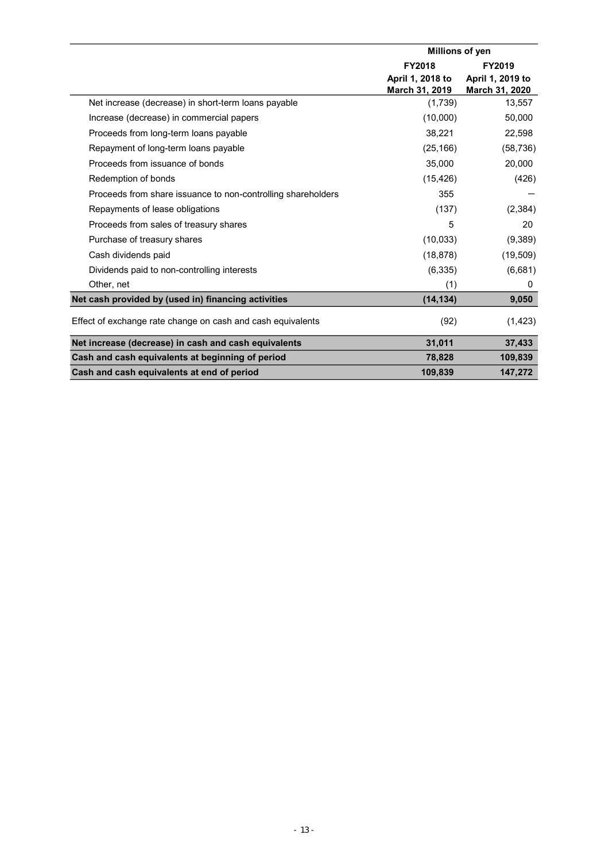|                                                              | Millions of yen  |                  |  |
|--------------------------------------------------------------|------------------|------------------|--|
|                                                              | <b>FY2018</b>    | FY2019           |  |
|                                                              | April 1, 2018 to | April 1, 2019 to |  |
|                                                              | March 31, 2019   | March 31, 2020   |  |
| Net increase (decrease) in short-term loans payable          | (1,739)          | 13,557           |  |
| Increase (decrease) in commercial papers                     | (10,000)         | 50,000           |  |
| Proceeds from long-term loans payable                        | 38,221           | 22,598           |  |
| Repayment of long-term loans payable                         | (25, 166)        | (58, 736)        |  |
| Proceeds from issuance of bonds                              | 35,000           | 20,000           |  |
| Redemption of bonds                                          | (15, 426)        | (426)            |  |
| Proceeds from share issuance to non-controlling shareholders | 355              |                  |  |
| Repayments of lease obligations                              | (137)            | (2, 384)         |  |
| Proceeds from sales of treasury shares                       | 5                | 20               |  |
| Purchase of treasury shares                                  | (10, 033)        | (9,389)          |  |
| Cash dividends paid                                          | (18, 878)        | (19, 509)        |  |
| Dividends paid to non-controlling interests                  | (6, 335)         | (6,681)          |  |
| Other, net                                                   | (1)              | 0                |  |
| Net cash provided by (used in) financing activities          | (14, 134)        | 9,050            |  |
| Effect of exchange rate change on cash and cash equivalents  | (92)             | (1, 423)         |  |
| Net increase (decrease) in cash and cash equivalents         | 31,011           | 37,433           |  |
| Cash and cash equivalents at beginning of period             | 78,828           | 109,839          |  |
| Cash and cash equivalents at end of period                   | 109,839          | 147,272          |  |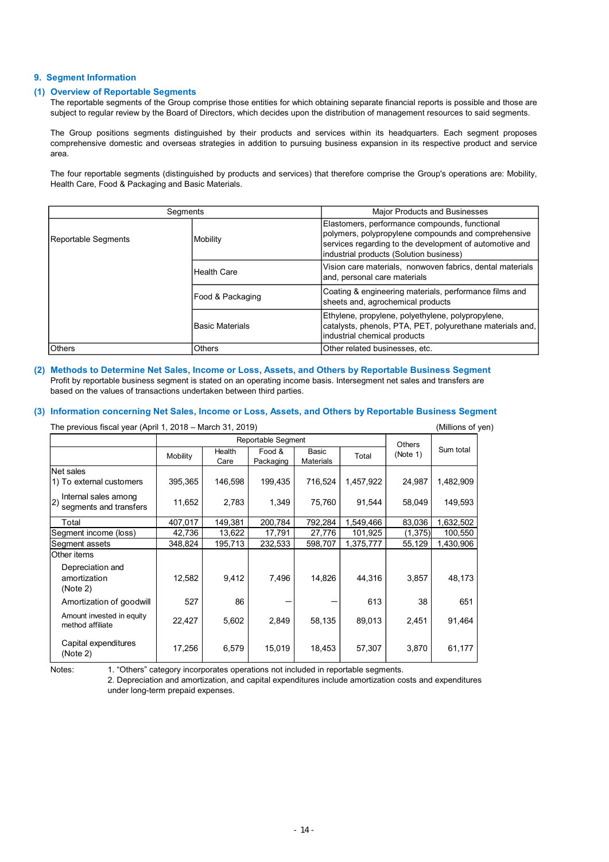#### 9. Segment Information

#### (1) Overview of Reportable Segments

The reportable segments of the Group comprise those entities for which obtaining separate financial reports is possible and those are subject to regular review by the Board of Directors, which decides upon the distribution of management resources to said segments.

The Group positions segments distinguished by their products and services within its headquarters. Each segment proposes comprehensive domestic and overseas strategies in addition to pursuing business expansion in its respective product and service area.

The four reportable segments (distinguished by products and services) that therefore comprise the Group's operations are: Mobility, Health Care, Food & Packaging and Basic Materials.

| Segments                                                                                                                                                         |          |                    |                           |                    | <b>Major Products and Businesses</b>                                                                                                                                                                       |          |                   |  |  |
|------------------------------------------------------------------------------------------------------------------------------------------------------------------|----------|--------------------|---------------------------|--------------------|------------------------------------------------------------------------------------------------------------------------------------------------------------------------------------------------------------|----------|-------------------|--|--|
| Reportable Segments<br>Mobility                                                                                                                                  |          |                    |                           |                    | Elastomers, performance compounds, functional<br>polymers, polypropylene compounds and comprehensive<br>services regarding to the development of automotive and<br>industrial products (Solution business) |          |                   |  |  |
|                                                                                                                                                                  |          | <b>Health Care</b> |                           |                    | Vision care materials, nonwoven fabrics, dental materials<br>and, personal care materials                                                                                                                  |          |                   |  |  |
|                                                                                                                                                                  |          | Food & Packaging   |                           |                    | Coating & engineering materials, performance films and<br>sheets and, agrochemical products                                                                                                                |          |                   |  |  |
| <b>Basic Materials</b>                                                                                                                                           |          |                    |                           |                    | Ethylene, propylene, polyethylene, polypropylene,<br>catalysts, phenols, PTA, PET, polyurethane materials and,<br>industrial chemical products                                                             |          |                   |  |  |
| <b>Others</b>                                                                                                                                                    |          | Others             |                           |                    | Other related businesses, etc.                                                                                                                                                                             |          |                   |  |  |
| Information concerning Net Sales, Income or Loss, Assets, and Others by Reportable Business Segment<br>The previous fiscal year (April 1, 2018 – March 31, 2019) |          |                    |                           |                    |                                                                                                                                                                                                            |          | (Millions of yen) |  |  |
|                                                                                                                                                                  |          |                    | <b>Reportable Segment</b> |                    |                                                                                                                                                                                                            | Others   |                   |  |  |
|                                                                                                                                                                  | Mobility | Health<br>Care     | Food &<br>Packaging       | Basic<br>Materials | Total                                                                                                                                                                                                      | (Note 1) | Sum total         |  |  |
| Net sales<br>1) To external customers                                                                                                                            | 395,365  | 146,598            | 199,435                   | 716,524            | 1,457,922                                                                                                                                                                                                  | 24,987   | 1,482,909         |  |  |
| Internal sales among<br> 2<br>segments and transfers                                                                                                             | 11,652   | 2,783              | 1,349                     | 75,760             | 91,544                                                                                                                                                                                                     | 58,049   | 149,593           |  |  |
| Total                                                                                                                                                            | 407,017  | 149,381            | 200,784                   | 792,284            | 1,549,466                                                                                                                                                                                                  | 83,036   | 1,632,502         |  |  |
| Segment income (loss)                                                                                                                                            | 42,736   | 13,622             | 17,791                    | 27,776             | 101,925                                                                                                                                                                                                    | (1, 375) | 100,550           |  |  |
| Segment assets                                                                                                                                                   | 348,824  | 195,713            | 232,533                   | 598,707            | 1,375,777                                                                                                                                                                                                  | 55,129   | 1,430,906         |  |  |
| Other items                                                                                                                                                      |          |                    |                           |                    |                                                                                                                                                                                                            |          |                   |  |  |
| Denreciation and                                                                                                                                                 |          |                    |                           |                    |                                                                                                                                                                                                            |          |                   |  |  |

#### (2) Methods to Determine Net Sales, Income or Loss, Assets, and Others by Reportable Business Segment Profit by reportable business segment is stated on an operating income basis. Intersegment net sales and transfers are based on the values of transactions undertaken between third parties.

#### (3) Information concerning Net Sales, Income or Loss, Assets, and Others by Reportable Business Segment

|                                                                                                                                                                                                                                                                                                                                                                                                                                                                          |          | <b>Health Care</b><br>Food & Packaging |                     |                           | Vision care materials, nonwoven fabrics, dental materials<br>and, personal care materials                                                      |                           |                                                        |
|--------------------------------------------------------------------------------------------------------------------------------------------------------------------------------------------------------------------------------------------------------------------------------------------------------------------------------------------------------------------------------------------------------------------------------------------------------------------------|----------|----------------------------------------|---------------------|---------------------------|------------------------------------------------------------------------------------------------------------------------------------------------|---------------------------|--------------------------------------------------------|
|                                                                                                                                                                                                                                                                                                                                                                                                                                                                          |          |                                        |                     |                           |                                                                                                                                                |                           |                                                        |
|                                                                                                                                                                                                                                                                                                                                                                                                                                                                          |          |                                        |                     |                           | sheets and, agrochemical products                                                                                                              |                           | Coating & engineering materials, performance films and |
|                                                                                                                                                                                                                                                                                                                                                                                                                                                                          |          | Basic Materials                        |                     |                           | Ethylene, propylene, polyethylene, polypropylene,<br>catalysts, phenols, PTA, PET, polyurethane materials and,<br>industrial chemical products |                           |                                                        |
| Others                                                                                                                                                                                                                                                                                                                                                                                                                                                                   |          | Others                                 |                     |                           | Other related businesses, etc.                                                                                                                 |                           |                                                        |
| Methods to Determine Net Sales, Income or Loss, Assets, and Others by Reportable Business Segment<br>Profit by reportable business segment is stated on an operating income basis. Intersegment net sales and transfers are<br>based on the values of transactions undertaken between third parties.<br>Information concerning Net Sales, Income or Loss, Assets, and Others by Reportable Business Segment<br>The previous fiscal year (April 1, 2018 - March 31, 2019) |          |                                        |                     |                           |                                                                                                                                                |                           | (Millions of yen)                                      |
|                                                                                                                                                                                                                                                                                                                                                                                                                                                                          |          |                                        | Reportable Segment  |                           |                                                                                                                                                |                           |                                                        |
|                                                                                                                                                                                                                                                                                                                                                                                                                                                                          | Mobility | Health<br>Care                         | Food &<br>Packaging | Basic<br><b>Materials</b> | Total                                                                                                                                          | <b>Others</b><br>(Note 1) | Sum total                                              |
| Net sales<br>1) To external customers                                                                                                                                                                                                                                                                                                                                                                                                                                    | 395,365  | 146,598                                | 199,435             | 716,524                   | 1,457,922                                                                                                                                      | 24,987                    | 1,482,909                                              |
| Internal sales among<br>segments and transfers                                                                                                                                                                                                                                                                                                                                                                                                                           | 11,652   | 2,783                                  | 1,349               | 75,760                    | 91,544                                                                                                                                         | 58,049                    | 149,593                                                |
| Total                                                                                                                                                                                                                                                                                                                                                                                                                                                                    | 407,017  | 149,381                                | 200,784             | 792,284                   | 1,549,466                                                                                                                                      | 83,036                    | 1,632,502                                              |
| Segment income (loss)                                                                                                                                                                                                                                                                                                                                                                                                                                                    | 42,736   | 13,622                                 | 17,791              | 27,776                    | 101,925                                                                                                                                        | (1, 375)                  | 100,550                                                |
| Segment assets                                                                                                                                                                                                                                                                                                                                                                                                                                                           | 348,824  | 195,713                                | 232,533             | 598,707                   | 1,375,777                                                                                                                                      | 55,129                    | 1,430,906                                              |
| Other items<br>Depreciation and<br>amortization<br>(Note 2)                                                                                                                                                                                                                                                                                                                                                                                                              | 12,582   | 9,412                                  | 7,496               | 14,826                    | 44,316                                                                                                                                         | 3,857                     | 48,173                                                 |
| Amortization of goodwill                                                                                                                                                                                                                                                                                                                                                                                                                                                 | 527      | 86                                     |                     | -                         | 613                                                                                                                                            | 38                        | 651                                                    |
| Amount invested in equity<br>method affiliate                                                                                                                                                                                                                                                                                                                                                                                                                            | 22,427   | 5,602                                  | 2,849               | 58,135                    | 89,013                                                                                                                                         | 2,451                     | 91,464                                                 |
| Capital expenditures                                                                                                                                                                                                                                                                                                                                                                                                                                                     | 17,256   | 6,579                                  | 15,019              | 18,453                    | 57,307                                                                                                                                         | 3,870                     | 61,177                                                 |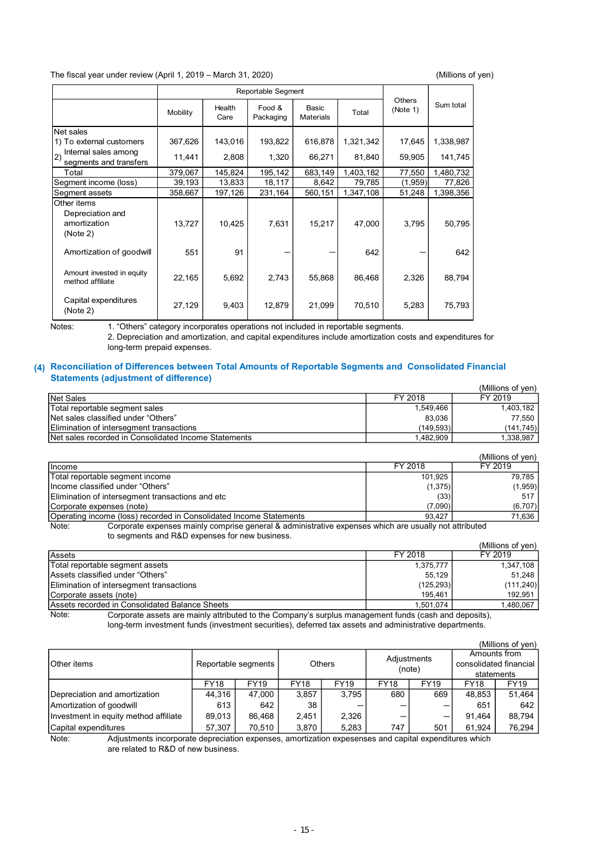The fiscal year under review (April 1, 2019 – March 31, 2020) (Millions of yen)

Mobility Health | Food & Basic | Total | (Note 1) Care Packaging Food & Basic  $\begin{array}{|c|c|c|c|c|}\n\hline\n\text{Food} & \text{Basic} & \text{Total} & \text{(Note 1)} & \text{90} & \text{100} \\
\hline\n\end{array}$ Basic **Total** Net sales 1) The fiscal year under review (April 1, 2019 – March 31, 2020)<br>
1687 – Reportable Segment<br>
1688 – Mobility – Care Packaging Materials<br>
17.645 1,338,987<br>
17.645 1,338,987<br>
17.645 1,338,987<br>
17.645 1,338,987<br>
20 Segments a 11,441 2,808 16.271 8.6527 16.272 16.127 16.28 16.147 16.28 16.147 16.28 16.147 16.28 16.147 16.28 16.147 16.28 16.147 16.28 16.147 16.28 16.147 16.28 16.147 16.28 16.147 16.147 16.147 16.147 16.147 16.147 16.147 16.147 16 Tscal year under review (April 1, 2019 – March 31, 2020)<br>
Total 379, 1976 (April 1, 2019 – March 31, 2020)<br>
Total Seales<br>
Total Search Packaging Materials<br>
Total 1, 2006 – 143,016 193,822 616,878 1,321,342 17,645 1,338,987 The fiscal year under review (April 1, 2019 – March 31, 2020)<br>
Separate Segment<br>
Net sales<br>
Net sales<br>
Segment incomes 367,626<br>
143,016 193,822 616,878 1,321,342 17,645 1,338,987<br>
2) personal sustains among<br>
Segment income The fiscal year under review (April 1, 2019 – March 31, 2020) (Millions of yen)<br>
Reportable Segment<br>
Net sales<br>
Net sales<br>
Net sales<br>
Net sales<br>
Sum total<br>
The correlation customers<br>
2) Internal customers<br>
2) The oxernal c Other items 13,2019 - March 31, 2020) (Millions of yen)<br>
Reportable Segment<br>
Unity Fealth Food & Basic Total (Note 1) Sum total<br>
Care Packaging Materials Total (Note 1) Sum total<br>
14,441 2,808 13,322 616,878 1,321,342 17,645 1,338,98 2019 - March 31, 2020)<br>
Reportable Segment<br>
By Health Food & Basic<br>
226 - 642 - 642 - 642 - 642 - 642 - 642 - 642 - 642 - 642 - 642 - 642 - 642 - 642 - 642 - 642 - 642 - 642 - 642 - 642 - 642 - 642 - 642 - 642 - 642 - 642 1, 2019 - March 31, 2020) (Millions of yen)<br>
Reportable Segment<br>
Dobliny Health<br>
1. Gave Franckayng Materials<br>
67, 626 143,016 193, 822 616,878 1.321,342 17, 645 1.338, 987<br>
11,441 2,808 1.35,822 616,878 1.321,342 17,645 1, 2019 – March 31, 2020) (Millions of yen)<br>
Reportable Segment<br>
Lembity – Health Food & Basic<br>
27,129 143,016 193,822 616,878 1,321,342 17,645 1,338,967<br>
11.441 – 2.808 1,329 616,878 1,321,342 17,645 1,338,967<br>
17,645 1, Others  $\Big|$  Sum total 1) To external customers | 367,626 | 143,016 | 193,822 | 616,878 Internal sales among segments and transfers 11,441 2,808 1,320 66,271<br>Total 379,067 145,824 195,142 683,149 Amount invested in equity  $22,165$   $5,692$   $2,743$   $55,868$ method affiliate Capital expenditures 27,129 9,403 12,879 (Note 2) Reportable Segment Depreciation and amortization (Note 2) Amortization of goodwill 551

Notes: 1. "Others" category incorporates operations not included in reportable segments. 2. Depreciation and amortization, and capital expenditures include amortization costs and expenditures for long-term prepaid expenses.

#### (4) Reconciliation of Differences between Total Amounts of Reportable Segments and Consolidated Financial Statements (adjustment of difference)

|           | (Millions of ven) |
|-----------|-------------------|
| FY 2018   | FY 2019           |
| 1.549.466 | 1.403.182         |
| 83.036    | 77.550            |
| (149.593) | (141, 745)        |
| 1.482.909 | 1.338.987         |
|           |                   |

|                                                                                                                          |         | (Millions of ven) |
|--------------------------------------------------------------------------------------------------------------------------|---------|-------------------|
| <b>Ilncome</b>                                                                                                           | FY 2018 | FY 2019           |
| Total reportable segment income                                                                                          | 101.925 | 79.785            |
| Income classified under "Others"                                                                                         | (1,375) | (1,959)           |
| Elimination of intersegment transactions and etc                                                                         | (33)    | 517               |
| Corporate expenses (note)                                                                                                | (7,090) | (6,707)           |
| Operating income (loss) recorded in Consolidated Income Statements                                                       | 93.427  | 71.636            |
| Osmanaka amangana mahili samanaka nanguni 0 silintahati ing amangan inklah sua risiralli ng kitabili ika-<br>$N = 1 - 1$ |         |                   |

Note: Corporate expenses mainly comprise general & administrative expenses which are usually not attributed to segments and R&D expenses for new business.

|                                                                                                                |            | (Millions of ven) |
|----------------------------------------------------------------------------------------------------------------|------------|-------------------|
| Assets                                                                                                         | FY 2018    | FY 2019           |
| Total reportable segment assets                                                                                | 1,375,777  | 1,347,108         |
| Assets classified under "Others"                                                                               | 55.129     | 51.248            |
| Elimination of intersegment transactions                                                                       | (125, 293) | (111, 240)        |
| Corporate assets (note)                                                                                        | 195.461    | 192.951           |
| Assets recorded in Consolidated Balance Sheets                                                                 | 1.501.074  | 1.480.067         |
| Osmanata asasta sua mainho attubutasi ta tha Osmananda somelos manasasant fonda fasala sual danasita)<br>Note: |            |                   |

Note: Corporate assets are mainly attributed to the Company's surplus management funds (cash and deposits), long-term investment funds (investment securities), deferred tax assets and administrative departments.

|                                       |             |                     |             |               |             |             |             | (Millions of yen)      |
|---------------------------------------|-------------|---------------------|-------------|---------------|-------------|-------------|-------------|------------------------|
|                                       |             |                     |             |               |             | Adjustments |             | Amounts from           |
| <b>Other</b> items                    |             | Reportable segments |             | <b>Others</b> |             | (note)      |             | consolidated financial |
|                                       |             |                     |             |               |             |             |             | statements             |
|                                       | <b>FY18</b> | <b>FY19</b>         | <b>FY18</b> | <b>FY19</b>   | <b>FY18</b> | <b>FY19</b> | <b>FY18</b> | FY19                   |
| Depreciation and amortization         | 44.316      | 47.000              | 3,857       | 3.795         | 680         | 669         | 48.853      | 51.464                 |
| Amortization of goodwill              | 613         | 642                 | 38          |               |             |             | 651         | 642                    |
| Investment in equity method affiliate | 89.013      | 86.468              | 2.451       | 2,326         |             | –           | 91.464      | 88.794                 |
| Capital expenditures                  | 57,307      | 70.510              | 3,870       | 5,283         | 747         | 501         | 61.924      | 76,294                 |

Note: Adjustments incorporate depreciation expenses, amortization expesenses and capital expenditures which are related to R&D of new business.